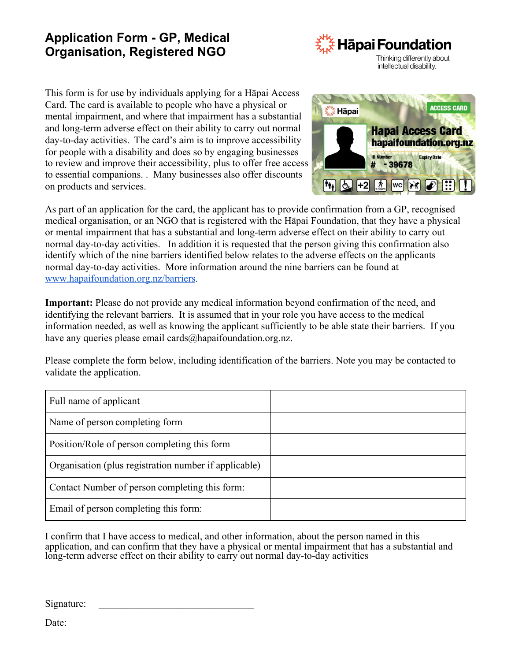## **Application Form - GP, Medical Organisation, Registered NGO**



This form is for use by individuals applying for a Hāpai Access Card. The card is available to people who have a physical or mental impairment, and where that impairment has a substantial and long-term adverse effect on their ability to carry out normal day-to-day activities. The card's aim is to improve accessibility for people with a disability and does so by engaging businesses to review and improve their accessibility, plus to offer free access to essential companions. . Many businesses also offer discounts on products and services.



As part of an application for the card, the applicant has to provide confirmation from a GP, recognised medical organisation, or an NGO that is registered with the Hāpai Foundation, that they have a physical or mental impairment that has a substantial and long-term adverse effect on their ability to carry out normal day-to-day activities. In addition it is requested that the person giving this confirmation also identify which of the nine barriers identified below relates to the adverse effects on the applicants normal day-to-day activities. More information around the nine barriers can be found at [www.hapaifoundation.org.nz/barriers](http://www.hapaifoundation.org.nz/barriers).

**Important:** Please do not provide any medical information beyond confirmation of the need, and identifying the relevant barriers. It is assumed that in your role you have access to the medical information needed, as well as knowing the applicant sufficiently to be able state their barriers. If you have any queries please email cards@hapaifoundation.org.nz.

Please complete the form below, including identification of the barriers. Note you may be contacted to validate the application.

| Full name of applicant                                |  |
|-------------------------------------------------------|--|
| Name of person completing form                        |  |
| Position/Role of person completing this form          |  |
| Organisation (plus registration number if applicable) |  |
| Contact Number of person completing this form:        |  |
| Email of person completing this form:                 |  |

I confirm that I have access to medical, and other information, about the person named in this application, and can confirm that they have a physical or mental impairment that has a substantial and long-term adverse effect on their ability to carry out normal day-to-day activities

Signature:

Date: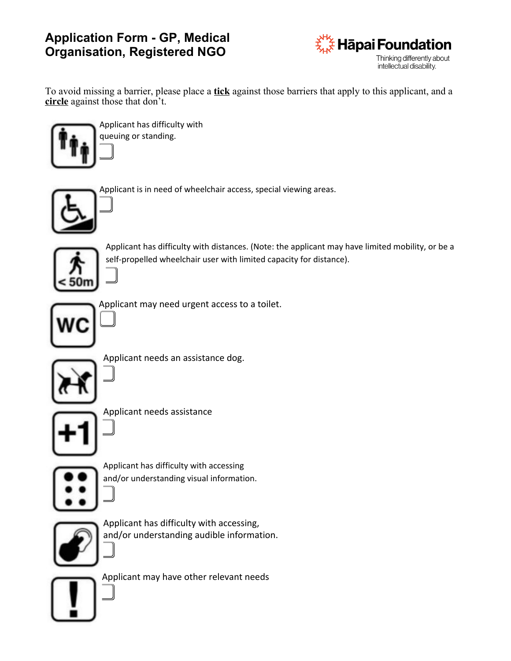## **Application Form - GP, Medical Organisation, Registered NGO**



To avoid missing a barrier, please place a **tick** against those barriers that apply to this applicant, and a **circle** against those that don't.



Applicant has difficulty with queuing or standing.

 $\parallel$ 

 $\parallel$ 

 $\parallel$ 

 $\parallel$ 

 $\parallel$ 

 $\parallel$ 

|<br>|<br>|



Applicant is in need of wheelchair access, special viewing areas.



Applicant has difficulty with distances. (Note: the applicant may have limited mobility, or be a self-propelled wheelchair user with limited capacity for distance).



Applicant may need urgent access to a toilet.



Applicant needs an assistance dog.





Applicant needs assistance  $\parallel$ 



Applicant has difficulty with accessing and/or understanding visual information.



Applicant has difficulty with accessing, and/or understanding audible information.



Applicant may have other relevant needs